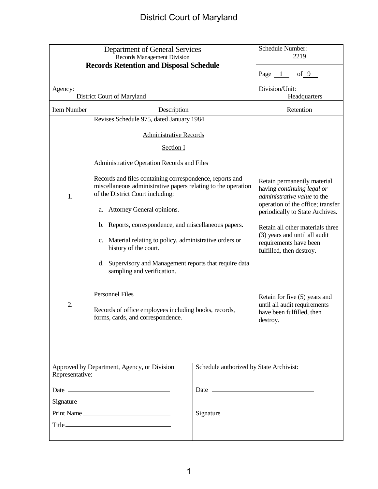| Department of General Services |                                                                                                                                                               | Schedule Number:                                                                                                                                                                                                                                                                                                                                                                                              |                                                                                          |
|--------------------------------|---------------------------------------------------------------------------------------------------------------------------------------------------------------|---------------------------------------------------------------------------------------------------------------------------------------------------------------------------------------------------------------------------------------------------------------------------------------------------------------------------------------------------------------------------------------------------------------|------------------------------------------------------------------------------------------|
| Records Management Division    |                                                                                                                                                               | 2219                                                                                                                                                                                                                                                                                                                                                                                                          |                                                                                          |
|                                | <b>Records Retention and Disposal Schedule</b>                                                                                                                |                                                                                                                                                                                                                                                                                                                                                                                                               |                                                                                          |
|                                |                                                                                                                                                               |                                                                                                                                                                                                                                                                                                                                                                                                               | of $9$<br>Page 1                                                                         |
| Agency:                        |                                                                                                                                                               | Division/Unit:                                                                                                                                                                                                                                                                                                                                                                                                |                                                                                          |
|                                | District Court of Maryland                                                                                                                                    |                                                                                                                                                                                                                                                                                                                                                                                                               | Headquarters                                                                             |
| Item Number                    | Description                                                                                                                                                   |                                                                                                                                                                                                                                                                                                                                                                                                               | Retention                                                                                |
|                                | Revises Schedule 975, dated January 1984                                                                                                                      |                                                                                                                                                                                                                                                                                                                                                                                                               |                                                                                          |
|                                | <b>Administrative Records</b>                                                                                                                                 |                                                                                                                                                                                                                                                                                                                                                                                                               |                                                                                          |
|                                | Section I                                                                                                                                                     |                                                                                                                                                                                                                                                                                                                                                                                                               |                                                                                          |
|                                | <b>Administrative Operation Records and Files</b>                                                                                                             |                                                                                                                                                                                                                                                                                                                                                                                                               |                                                                                          |
| 1.                             | Records and files containing correspondence, reports and<br>miscellaneous administrative papers relating to the operation<br>of the District Court including: |                                                                                                                                                                                                                                                                                                                                                                                                               | Retain permanently material<br>having continuing legal or<br>administrative value to the |
|                                | a. Attorney General opinions.                                                                                                                                 |                                                                                                                                                                                                                                                                                                                                                                                                               | operation of the office; transfer<br>periodically to State Archives.                     |
|                                | b. Reports, correspondence, and miscellaneous papers.                                                                                                         |                                                                                                                                                                                                                                                                                                                                                                                                               | Retain all other materials three                                                         |
|                                | c. Material relating to policy, administrative orders or<br>history of the court.                                                                             |                                                                                                                                                                                                                                                                                                                                                                                                               | (3) years and until all audit<br>requirements have been<br>fulfilled, then destroy.      |
|                                | Supervisory and Management reports that require data<br>d.<br>sampling and verification.                                                                      |                                                                                                                                                                                                                                                                                                                                                                                                               |                                                                                          |
|                                | Personnel Files                                                                                                                                               |                                                                                                                                                                                                                                                                                                                                                                                                               | Retain for five (5) years and                                                            |
| 2.                             | Records of office employees including books, records,<br>forms, cards, and correspondence.                                                                    |                                                                                                                                                                                                                                                                                                                                                                                                               | until all audit requirements<br>have been fulfilled, then<br>destroy.                    |
|                                |                                                                                                                                                               |                                                                                                                                                                                                                                                                                                                                                                                                               |                                                                                          |
|                                |                                                                                                                                                               |                                                                                                                                                                                                                                                                                                                                                                                                               |                                                                                          |
| Representative:                | Approved by Department, Agency, or Division                                                                                                                   | Schedule authorized by State Archivist:                                                                                                                                                                                                                                                                                                                                                                       |                                                                                          |
|                                |                                                                                                                                                               | Date $\frac{1}{\sqrt{1-\frac{1}{2}}\sqrt{1-\frac{1}{2}}\sqrt{1-\frac{1}{2}}\sqrt{1-\frac{1}{2}}\sqrt{1-\frac{1}{2}}\sqrt{1-\frac{1}{2}}\sqrt{1-\frac{1}{2}}\sqrt{1-\frac{1}{2}}\sqrt{1-\frac{1}{2}}\sqrt{1-\frac{1}{2}}\sqrt{1-\frac{1}{2}}\sqrt{1-\frac{1}{2}}\sqrt{1-\frac{1}{2}}\sqrt{1-\frac{1}{2}}\sqrt{1-\frac{1}{2}}\sqrt{1-\frac{1}{2}}\sqrt{1-\frac{1}{2}}\sqrt{1-\frac{1}{2}}\sqrt{1-\frac{1}{2}}\$ |                                                                                          |
|                                | Signature                                                                                                                                                     |                                                                                                                                                                                                                                                                                                                                                                                                               |                                                                                          |
| Print Name                     |                                                                                                                                                               |                                                                                                                                                                                                                                                                                                                                                                                                               |                                                                                          |
|                                |                                                                                                                                                               |                                                                                                                                                                                                                                                                                                                                                                                                               |                                                                                          |
|                                |                                                                                                                                                               |                                                                                                                                                                                                                                                                                                                                                                                                               |                                                                                          |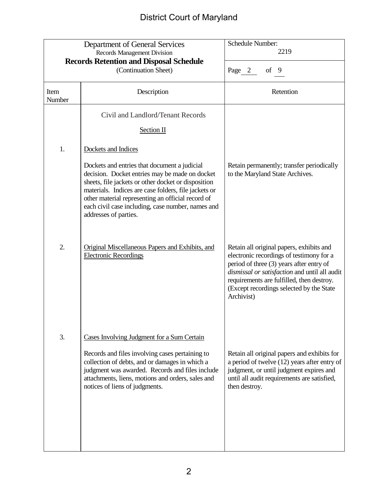## District Court of Maryland

| Department of General Services<br><b>Records Management Division</b>   |                                                                                                                                                                                                                                                                                                                                                  | Schedule Number:<br>2219                                                                                                                                                                                                                                                                 |
|------------------------------------------------------------------------|--------------------------------------------------------------------------------------------------------------------------------------------------------------------------------------------------------------------------------------------------------------------------------------------------------------------------------------------------|------------------------------------------------------------------------------------------------------------------------------------------------------------------------------------------------------------------------------------------------------------------------------------------|
| <b>Records Retention and Disposal Schedule</b><br>(Continuation Sheet) |                                                                                                                                                                                                                                                                                                                                                  | of $9$                                                                                                                                                                                                                                                                                   |
|                                                                        |                                                                                                                                                                                                                                                                                                                                                  | Page 2                                                                                                                                                                                                                                                                                   |
| Item<br>Number                                                         | Description                                                                                                                                                                                                                                                                                                                                      | Retention                                                                                                                                                                                                                                                                                |
|                                                                        | Civil and Landlord/Tenant Records                                                                                                                                                                                                                                                                                                                |                                                                                                                                                                                                                                                                                          |
|                                                                        | Section II                                                                                                                                                                                                                                                                                                                                       |                                                                                                                                                                                                                                                                                          |
| 1.                                                                     | Dockets and Indices                                                                                                                                                                                                                                                                                                                              |                                                                                                                                                                                                                                                                                          |
|                                                                        | Dockets and entries that document a judicial<br>decision. Docket entries may be made on docket<br>sheets, file jackets or other docket or disposition<br>materials. Indices are case folders, file jackets or<br>other material representing an official record of<br>each civil case including, case number, names and<br>addresses of parties. | Retain permanently; transfer periodically<br>to the Maryland State Archives.                                                                                                                                                                                                             |
| 2.                                                                     | Original Miscellaneous Papers and Exhibits, and<br><b>Electronic Recordings</b>                                                                                                                                                                                                                                                                  | Retain all original papers, exhibits and<br>electronic recordings of testimony for a<br>period of three (3) years after entry of<br>dismissal or satisfaction and until all audit<br>requirements are fulfilled, then destroy.<br>(Except recordings selected by the State<br>Archivist) |
| 3.                                                                     | <b>Cases Involving Judgment for a Sum Certain</b><br>Records and files involving cases pertaining to<br>collection of debts, and or damages in which a<br>judgment was awarded. Records and files include<br>attachments, liens, motions and orders, sales and<br>notices of liens of judgments.                                                 | Retain all original papers and exhibits for<br>a period of twelve (12) years after entry of<br>judgment, or until judgment expires and<br>until all audit requirements are satisfied,<br>then destroy.                                                                                   |
|                                                                        |                                                                                                                                                                                                                                                                                                                                                  |                                                                                                                                                                                                                                                                                          |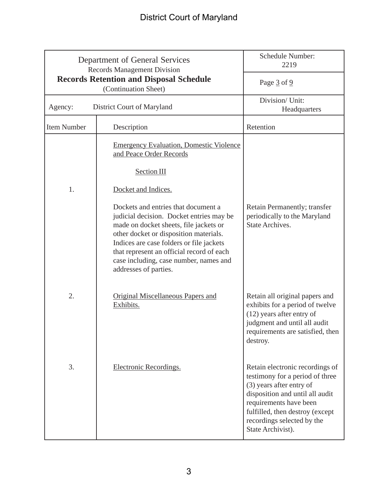| Department of General Services<br><b>Records Management Division</b><br><b>Records Retention and Disposal Schedule</b><br>(Continuation Sheet) |                                                                                                                                                                                                                                                                                                                                 | Schedule Number:<br>2219                                                                                                                                                                                                                          |
|------------------------------------------------------------------------------------------------------------------------------------------------|---------------------------------------------------------------------------------------------------------------------------------------------------------------------------------------------------------------------------------------------------------------------------------------------------------------------------------|---------------------------------------------------------------------------------------------------------------------------------------------------------------------------------------------------------------------------------------------------|
|                                                                                                                                                |                                                                                                                                                                                                                                                                                                                                 | Page 3 of 9                                                                                                                                                                                                                                       |
| Agency:                                                                                                                                        | District Court of Maryland                                                                                                                                                                                                                                                                                                      | Division/ Unit:<br>Headquarters                                                                                                                                                                                                                   |
| <b>Item Number</b>                                                                                                                             | Description                                                                                                                                                                                                                                                                                                                     | Retention                                                                                                                                                                                                                                         |
|                                                                                                                                                | <b>Emergency Evaluation, Domestic Violence</b><br>and Peace Order Records                                                                                                                                                                                                                                                       |                                                                                                                                                                                                                                                   |
|                                                                                                                                                | Section III                                                                                                                                                                                                                                                                                                                     |                                                                                                                                                                                                                                                   |
| 1.                                                                                                                                             | Docket and Indices.                                                                                                                                                                                                                                                                                                             |                                                                                                                                                                                                                                                   |
|                                                                                                                                                | Dockets and entries that document a<br>judicial decision. Docket entries may be<br>made on docket sheets, file jackets or<br>other docket or disposition materials.<br>Indices are case folders or file jackets<br>that represent an official record of each<br>case including, case number, names and<br>addresses of parties. | Retain Permanently; transfer<br>periodically to the Maryland<br><b>State Archives.</b>                                                                                                                                                            |
| 2.                                                                                                                                             | <b>Original Miscellaneous Papers and</b><br>Exhibits.                                                                                                                                                                                                                                                                           | Retain all original papers and<br>exhibits for a period of twelve<br>$(12)$ years after entry of<br>judgment and until all audit<br>requirements are satisfied, then<br>destroy.                                                                  |
| 3.                                                                                                                                             | Electronic Recordings.                                                                                                                                                                                                                                                                                                          | Retain electronic recordings of<br>testimony for a period of three<br>(3) years after entry of<br>disposition and until all audit<br>requirements have been<br>fulfilled, then destroy (except<br>recordings selected by the<br>State Archivist). |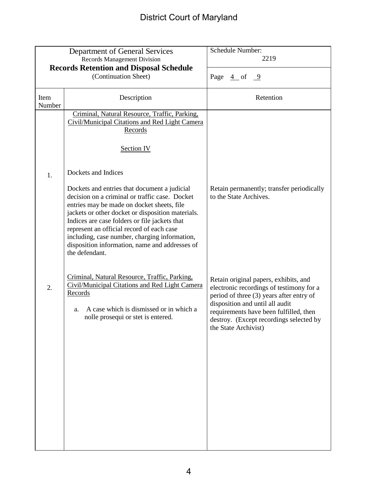| Department of General Services     |                                                                                                                                                                                                                                                                                                                                                                                                                      | Schedule Number:                                                                                                                                                                                                                                                              |
|------------------------------------|----------------------------------------------------------------------------------------------------------------------------------------------------------------------------------------------------------------------------------------------------------------------------------------------------------------------------------------------------------------------------------------------------------------------|-------------------------------------------------------------------------------------------------------------------------------------------------------------------------------------------------------------------------------------------------------------------------------|
| <b>Records Management Division</b> |                                                                                                                                                                                                                                                                                                                                                                                                                      | 2219                                                                                                                                                                                                                                                                          |
|                                    | <b>Records Retention and Disposal Schedule</b><br>(Continuation Sheet)                                                                                                                                                                                                                                                                                                                                               | Page $\frac{4}{5}$ of $\frac{9}{5}$                                                                                                                                                                                                                                           |
| Item<br>Number                     | Description                                                                                                                                                                                                                                                                                                                                                                                                          | Retention                                                                                                                                                                                                                                                                     |
|                                    | Criminal, Natural Resource, Traffic, Parking,<br>Civil/Municipal Citations and Red Light Camera<br>Records                                                                                                                                                                                                                                                                                                           |                                                                                                                                                                                                                                                                               |
|                                    | Section IV                                                                                                                                                                                                                                                                                                                                                                                                           |                                                                                                                                                                                                                                                                               |
| 1.                                 | Dockets and Indices                                                                                                                                                                                                                                                                                                                                                                                                  |                                                                                                                                                                                                                                                                               |
|                                    | Dockets and entries that document a judicial<br>decision on a criminal or traffic case. Docket<br>entries may be made on docket sheets, file<br>jackets or other docket or disposition materials.<br>Indices are case folders or file jackets that<br>represent an official record of each case<br>including, case number, charging information,<br>disposition information, name and addresses of<br>the defendant. | Retain permanently; transfer periodically<br>to the State Archives.                                                                                                                                                                                                           |
| 2.                                 | Criminal, Natural Resource, Traffic, Parking,<br>Civil/Municipal Citations and Red Light Camera<br>Records<br>A case which is dismissed or in which a<br>a.<br>nolle prosequi or stet is entered.                                                                                                                                                                                                                    | Retain original papers, exhibits, and<br>electronic recordings of testimony for a<br>period of three (3) years after entry of<br>disposition and until all audit<br>requirements have been fulfilled, then<br>destroy. (Except recordings selected by<br>the State Archivist) |
|                                    |                                                                                                                                                                                                                                                                                                                                                                                                                      |                                                                                                                                                                                                                                                                               |
|                                    |                                                                                                                                                                                                                                                                                                                                                                                                                      |                                                                                                                                                                                                                                                                               |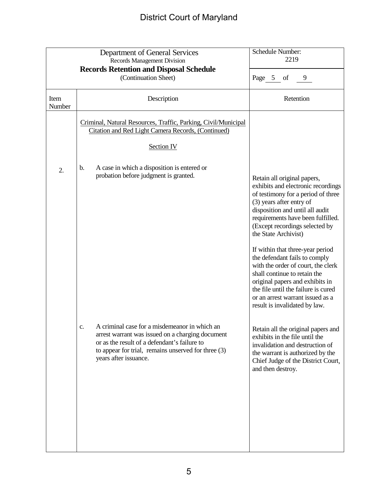| Department of General Services<br>Records Management Division |                                                                                                                                                                                                                                         | Schedule Number:<br>2219                                                                                                                                                                                                                                                                                                                                                                                                                                                                                                                                        |
|---------------------------------------------------------------|-----------------------------------------------------------------------------------------------------------------------------------------------------------------------------------------------------------------------------------------|-----------------------------------------------------------------------------------------------------------------------------------------------------------------------------------------------------------------------------------------------------------------------------------------------------------------------------------------------------------------------------------------------------------------------------------------------------------------------------------------------------------------------------------------------------------------|
|                                                               | <b>Records Retention and Disposal Schedule</b><br>(Continuation Sheet)                                                                                                                                                                  | Page 5 of<br>9                                                                                                                                                                                                                                                                                                                                                                                                                                                                                                                                                  |
| Item<br>Number                                                | Description                                                                                                                                                                                                                             | Retention                                                                                                                                                                                                                                                                                                                                                                                                                                                                                                                                                       |
|                                                               | Criminal, Natural Resources, Traffic, Parking, Civil/Municipal<br>Citation and Red Light Camera Records, (Continued)                                                                                                                    |                                                                                                                                                                                                                                                                                                                                                                                                                                                                                                                                                                 |
|                                                               | <b>Section IV</b>                                                                                                                                                                                                                       |                                                                                                                                                                                                                                                                                                                                                                                                                                                                                                                                                                 |
| 2.                                                            | A case in which a disposition is entered or<br>b.<br>probation before judgment is granted.                                                                                                                                              | Retain all original papers,<br>exhibits and electronic recordings<br>of testimony for a period of three<br>(3) years after entry of<br>disposition and until all audit<br>requirements have been fulfilled.<br>(Except recordings selected by<br>the State Archivist)<br>If within that three-year period<br>the defendant fails to comply<br>with the order of court, the clerk<br>shall continue to retain the<br>original papers and exhibits in<br>the file until the failure is cured<br>or an arrest warrant issued as a<br>result is invalidated by law. |
|                                                               | A criminal case for a misdemeanor in which an<br>c.<br>arrest warrant was issued on a charging document<br>or as the result of a defendant's failure to<br>to appear for trial, remains unserved for three (3)<br>years after issuance. | Retain all the original papers and<br>exhibits in the file until the<br>invalidation and destruction of<br>the warrant is authorized by the<br>Chief Judge of the District Court,<br>and then destroy.                                                                                                                                                                                                                                                                                                                                                          |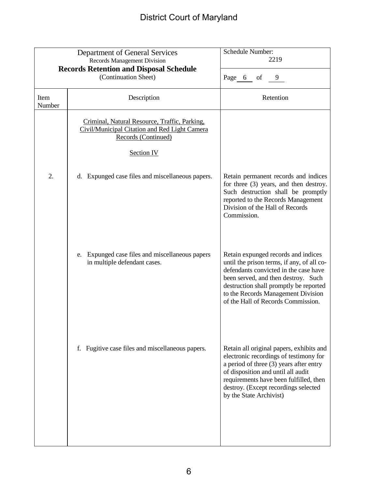| Department of General Services<br><b>Records Management Division</b> |                                                                                                                       | Schedule Number:<br>2219                                                                                                                                                                                                                                                                |
|----------------------------------------------------------------------|-----------------------------------------------------------------------------------------------------------------------|-----------------------------------------------------------------------------------------------------------------------------------------------------------------------------------------------------------------------------------------------------------------------------------------|
| <b>Records Retention and Disposal Schedule</b>                       |                                                                                                                       |                                                                                                                                                                                                                                                                                         |
|                                                                      | (Continuation Sheet)                                                                                                  | Page 6<br>9<br>of                                                                                                                                                                                                                                                                       |
| Item<br>Number                                                       | Description                                                                                                           | Retention                                                                                                                                                                                                                                                                               |
|                                                                      | Criminal, Natural Resource, Traffic, Parking,<br>Civil/Municipal Citation and Red Light Camera<br>Records (Continued) |                                                                                                                                                                                                                                                                                         |
|                                                                      | <b>Section IV</b>                                                                                                     |                                                                                                                                                                                                                                                                                         |
| 2.                                                                   | d. Expunged case files and miscellaneous papers.                                                                      | Retain permanent records and indices<br>for three (3) years, and then destroy.<br>Such destruction shall be promptly<br>reported to the Records Management<br>Division of the Hall of Records<br>Commission.                                                                            |
|                                                                      | e. Expunged case files and miscellaneous papers<br>in multiple defendant cases.                                       | Retain expunged records and indices<br>until the prison terms, if any, of all co-<br>defendants convicted in the case have<br>been served, and then destroy. Such<br>destruction shall promptly be reported<br>to the Records Management Division<br>of the Hall of Records Commission. |
|                                                                      | f. Fugitive case files and miscellaneous papers.                                                                      | Retain all original papers, exhibits and<br>electronic recordings of testimony for<br>a period of three (3) years after entry<br>of disposition and until all audit<br>requirements have been fulfilled, then<br>destroy. (Except recordings selected<br>by the State Archivist)        |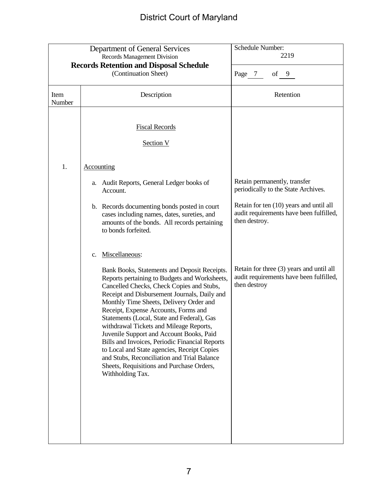| Department of General Services                 |                                                                                                                                                                                                                                                                                                                                                                                                                                                                                                                                                                                                                                     | Schedule Number:                                                                                    |
|------------------------------------------------|-------------------------------------------------------------------------------------------------------------------------------------------------------------------------------------------------------------------------------------------------------------------------------------------------------------------------------------------------------------------------------------------------------------------------------------------------------------------------------------------------------------------------------------------------------------------------------------------------------------------------------------|-----------------------------------------------------------------------------------------------------|
| Records Management Division                    |                                                                                                                                                                                                                                                                                                                                                                                                                                                                                                                                                                                                                                     | 2219                                                                                                |
| <b>Records Retention and Disposal Schedule</b> |                                                                                                                                                                                                                                                                                                                                                                                                                                                                                                                                                                                                                                     |                                                                                                     |
|                                                | (Continuation Sheet)                                                                                                                                                                                                                                                                                                                                                                                                                                                                                                                                                                                                                | Page 7<br>of $9$                                                                                    |
| Item<br>Number                                 | Description                                                                                                                                                                                                                                                                                                                                                                                                                                                                                                                                                                                                                         | Retention                                                                                           |
|                                                |                                                                                                                                                                                                                                                                                                                                                                                                                                                                                                                                                                                                                                     |                                                                                                     |
|                                                | <b>Fiscal Records</b>                                                                                                                                                                                                                                                                                                                                                                                                                                                                                                                                                                                                               |                                                                                                     |
|                                                | Section V                                                                                                                                                                                                                                                                                                                                                                                                                                                                                                                                                                                                                           |                                                                                                     |
| 1.                                             | Accounting                                                                                                                                                                                                                                                                                                                                                                                                                                                                                                                                                                                                                          |                                                                                                     |
|                                                | a. Audit Reports, General Ledger books of<br>Account.                                                                                                                                                                                                                                                                                                                                                                                                                                                                                                                                                                               | Retain permanently, transfer<br>periodically to the State Archives.                                 |
|                                                | b. Records documenting bonds posted in court<br>cases including names, dates, sureties, and<br>amounts of the bonds. All records pertaining<br>to bonds forfeited.                                                                                                                                                                                                                                                                                                                                                                                                                                                                  | Retain for ten (10) years and until all<br>audit requirements have been fulfilled,<br>then destroy. |
|                                                | Miscellaneous:<br>c.                                                                                                                                                                                                                                                                                                                                                                                                                                                                                                                                                                                                                |                                                                                                     |
|                                                | Bank Books, Statements and Deposit Receipts.<br>Reports pertaining to Budgets and Worksheets,<br>Cancelled Checks, Check Copies and Stubs,<br>Receipt and Disbursement Journals, Daily and<br>Monthly Time Sheets, Delivery Order and<br>Receipt, Expense Accounts, Forms and<br>Statements (Local, State and Federal), Gas<br>withdrawal Tickets and Mileage Reports,<br>Juvenile Support and Account Books, Paid<br>Bills and Invoices, Periodic Financial Reports<br>to Local and State agencies, Receipt Copies<br>and Stubs, Reconciliation and Trial Balance<br>Sheets, Requisitions and Purchase Orders,<br>Withholding Tax. | Retain for three (3) years and until all<br>audit requirements have been fulfilled,<br>then destroy |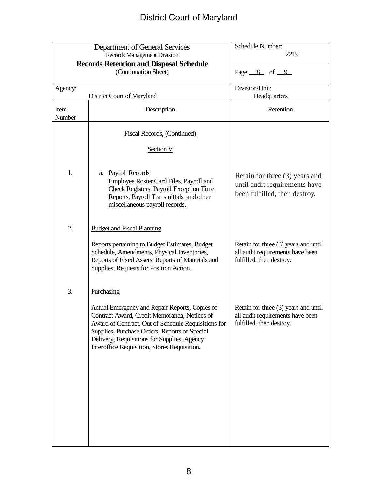| Department of General Services<br>Records Management Division |                                                                                                                                                                                                                                                                                                       | Schedule Number:<br>2219                                                                             |
|---------------------------------------------------------------|-------------------------------------------------------------------------------------------------------------------------------------------------------------------------------------------------------------------------------------------------------------------------------------------------------|------------------------------------------------------------------------------------------------------|
|                                                               | <b>Records Retention and Disposal Schedule</b><br>(Continuation Sheet)                                                                                                                                                                                                                                | Page $8$ of $9$                                                                                      |
| Agency:<br>District Court of Maryland                         |                                                                                                                                                                                                                                                                                                       | Division/Unit:<br>Headquarters                                                                       |
| Item<br>Number                                                | Description                                                                                                                                                                                                                                                                                           | Retention                                                                                            |
|                                                               | Fiscal Records, (Continued)                                                                                                                                                                                                                                                                           |                                                                                                      |
|                                                               | Section V                                                                                                                                                                                                                                                                                             |                                                                                                      |
| 1.                                                            | <b>Payroll Records</b><br>a.<br>Employee Roster Card Files, Payroll and<br>Check Registers, Payroll Exception Time<br>Reports, Payroll Transmittals, and other<br>miscellaneous payroll records.                                                                                                      | Retain for three (3) years and<br>until audit requirements have<br>been fulfilled, then destroy.     |
| 2.                                                            | <b>Budget and Fiscal Planning</b>                                                                                                                                                                                                                                                                     |                                                                                                      |
|                                                               | Reports pertaining to Budget Estimates, Budget<br>Schedule, Amendments, Physical Inventories,<br>Reports of Fixed Assets, Reports of Materials and<br>Supplies, Requests for Position Action.                                                                                                         | Retain for three (3) years and until<br>all audit requirements have been<br>fulfilled, then destroy. |
| 3.                                                            | Purchasing                                                                                                                                                                                                                                                                                            |                                                                                                      |
|                                                               | Actual Emergency and Repair Reports, Copies of<br>Contract Award, Credit Memoranda, Notices of<br>Award of Contract, Out of Schedule Requisitions for<br>Supplies, Purchase Orders, Reports of Special<br>Delivery, Requisitions for Supplies, Agency<br>Interoffice Requisition, Stores Requisition. | Retain for three (3) years and until<br>all audit requirements have been<br>fulfilled, then destroy. |
|                                                               |                                                                                                                                                                                                                                                                                                       |                                                                                                      |